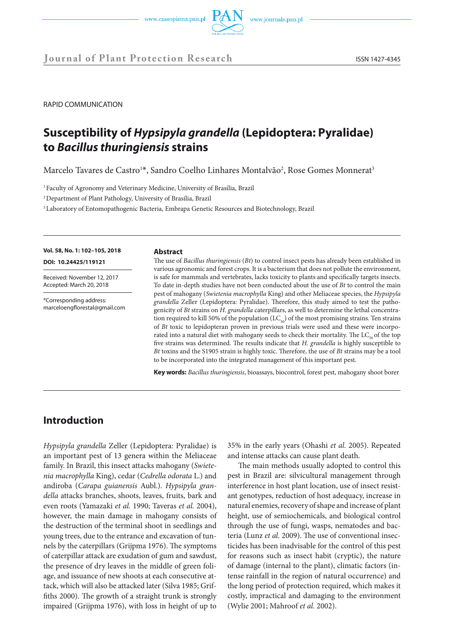



**Journal of Plant Protection Research** ISSN 1427-4345

RAPID COMMUNICATION

# **Susceptibility of** *Hypsipyla grandella* **(Lepidoptera: Pyralidae) to** *Bacillus thuringiensis* **strains**

Marcelo Tavares de Castro<sup>1\*</sup>, Sandro Coelho Linhares Montalvão<sup>2</sup>, Rose Gomes Monnerat<sup>3</sup>

<sup>1</sup> Faculty of Agronomy and Veterinary Medicine, University of Brasília, Brazil

2 Department of Plant Pathology, University of Brasília, Brazil

3 Laboratory of Entomopathogenic Bacteria, Embrapa Genetic Resources and Biotechnology, Brazil

**Vol. 58, No. 1: 102–105, 2018 DOI: 10.24425/119121**

Received: November 12, 2017 Accepted: March 20, 2018

\*Corresponding address: marceloengflorestal@gmail.com

# **Abstract**

The use of *Bacillus thuringiensis* (*Bt*) to control insect pests has already been established in various agronomic and forest crops. It is a bacterium that does not pollute the environment, is safe for mammals and vertebrates, lacks toxicity to plants and specifically targets insects. To date in-depth studies have not been conducted about the use of *Bt* to control the main pest of mahogany (*Swietenia macrophylla* King) and other Meliaceae species, the *Hypsipyla grandella* Zeller (Lepidoptera: Pyralidae). Therefore, this study aimed to test the pathogenicity of *Bt* strains on *H. grandella* caterpillars, as well to determine the lethal concentration required to kill 50% of the population ( $LC_{50}$ ) of the most promising strains. Ten strains of *Bt* toxic to lepidopteran proven in previous trials were used and these were incorporated into a natural diet with mahogany seeds to check their mortality. The  $LC_{50}$  of the top five strains was determined. The results indicate that *H. grandella* is highly susceptible to *Bt* toxins and the S1905 strain is highly toxic. Therefore, the use of *Bt* strains may be a tool to be incorporated into the integrated management of this important pest.

**Key words:** *Bacillus thuringiensis*, bioassays, biocontrol, forest pest, mahogany shoot borer

# **Introduction**

*Hypsipyla grandella* Zeller (Lepidoptera: Pyralidae) is an important pest of 13 genera within the Meliaceae family. In Brazil, this insect attacks mahogany (*Swietenia macrophylla* King), cedar (*Cedrella odorata* L.) and andiroba (*Carapa guianensis* Aubl.). *Hypsipyla grandella* attacks branches, shoots, leaves, fruits, bark and even roots (Yamazaki *et al.* 1990; Taveras *et al.* 2004), however, the main damage in mahogany consists of the destruction of the terminal shoot in seedlings and young trees, due to the entrance and excavation of tunnels by the caterpillars (Grijpma 1976). The symptoms of caterpillar attack are exudation of gum and sawdust, the presence of dry leaves in the middle of green foliage, and issuance of new shoots at each consecutive attack, which will also be attacked later (Silva 1985; Griffiths 2000). The growth of a straight trunk is strongly impaired (Grijpma 1976), with loss in height of up to

35% in the early years (Ohashi *et al.* 2005). Repeated and intense attacks can cause plant death.

The main methods usually adopted to control this pest in Brazil are: silvicultural management through interference in host plant location, use of insect resistant genotypes, reduction of host adequacy, increase in natural enemies, recovery of shape and increase of plant height, use of semiochemicals, and biological control through the use of fungi, wasps, nematodes and bacteria (Lunz *et al.* 2009). The use of conventional insecticides has been inadvisable for the control of this pest for reasons such as insect habit (cryptic), the nature of damage (internal to the plant), climatic factors (intense rainfall in the region of natural occurrence) and the long period of protection required, which makes it costly, impractical and damaging to the environment (Wylie 2001; Mahroof *et al.* 2002).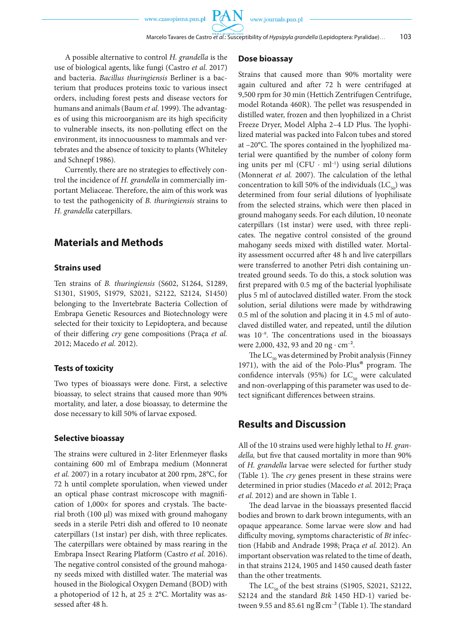A possible alternative to control *H. grandella* is the use of biological agents, like fungi (Castro *et al*. 2017) and bacteria. *Bacillus thuringiensis* Berliner is a bacterium that produces proteins toxic to various insect orders, including forest pests and disease vectors for humans and animals (Baum *et al.* 1999). The advantages of using this microorganism are its high specificity to vulnerable insects, its non-polluting effect on the environment, its innocuousness to mammals and vertebrates and the absence of toxicity to plants (Whiteley and Schnepf 1986).

Currently, there are no strategies to effectively control the incidence of *H. grandella* in commercially important Meliaceae. Therefore, the aim of this work was to test the pathogenicity of *B. thuringiensis* strains to *H. grandella* caterpillars.

# **Materials and Methods**

## **Strains used**

Ten strains of *B. thuringiensis* (S602, S1264, S1289, S1301, S1905, S1979, S2021, S2122, S2124, S1450) belonging to the Invertebrate Bacteria Collection of Embrapa Genetic Resources and Biotechnology were selected for their toxicity to Lepidoptera, and because of their differing *cry* gene compositions (Praça *et al.* 2012; Macedo *et al.* 2012).

### **Tests of toxicity**

Two types of bioassays were done. First, a selective bioassay, to select strains that caused more than 90% mortality, and later, a dose bioassay, to determine the dose necessary to kill 50% of larvae exposed.

## **Selective bioassay**

The strains were cultured in 2-liter Erlenmeyer flasks containing 600 ml of Embrapa medium (Monnerat *et al.* 2007) in a rotary incubator at 200 rpm, 28°C, for 72 h until complete sporulation, when viewed under an optical phase contrast microscope with magnification of  $1,000\times$  for spores and crystals. The bacterial broth (100 μl) was mixed with ground mahogany seeds in a sterile Petri dish and offered to 10 neonate caterpillars (1st instar) per dish, with three replicates. The caterpillars were obtained by mass rearing in the Embrapa Insect Rearing Platform (Castro *et al.* 2016). The negative control consisted of the ground mahogany seeds mixed with distilled water. The material was housed in the Biological Oxygen Demand (BOD) with a photoperiod of 12 h, at  $25 \pm 2$ °C. Mortality was assessed after 48 h.

## **Dose bioassay**

**PAN** 

Strains that caused more than 90% mortality were again cultured and after 72 h were centrifuged at 9,500 rpm for 30 min (Hettich Zentrifugen Centrifuge, model Rotanda 460R). The pellet was resuspended in distilled water, frozen and then lyophilized in a Christ Freeze Dryer, Model Alpha 2–4 LD Plus. The lyophilized material was packed into Falcon tubes and stored at –20°C. The spores contained in the lyophilized material were quantified by the number of colony form ing units per ml  $(CFU \cdot ml^{-1})$  using serial dilutions (Monnerat *et al.* 2007). The calculation of the lethal concentration to kill 50% of the individuals  $(LC_{50})$  was determined from four serial dilutions of lyophilisate from the selected strains, which were then placed in ground mahogany seeds. For each dilution, 10 neonate caterpillars (1st instar) were used, with three replicates. The negative control consisted of the ground mahogany seeds mixed with distilled water. Mortality assessment occurred after 48 h and live caterpillars were transferred to another Petri dish containing untreated ground seeds. To do this, a stock solution was first prepared with 0.5 mg of the bacterial lyophilisate plus 5 ml of autoclaved distilled water. From the stock solution, serial dilutions were made by withdrawing 0.5 ml of the solution and placing it in 4.5 ml of autoclaved distilled water, and repeated, until the dilution was  $10^{-9}$ . The concentrations used in the bioassays were 2,000, 432, 93 and 20 ng ⋅ cm<sup>-2</sup>.

The  $LC_{50}$  was determined by Probit analysis (Finney 1971), with the aid of the Polo-Plus® program. The confidence intervals (95%) for  $LC_{50}$  were calculated and non-overlapping of this parameter was used to detect significant differences between strains.

# **Results and Discussion**

All of the 10 strains used were highly lethal to *H. grandella,* but five that caused mortality in more than 90% of *H. grandella* larvae were selected for further study (Table 1). The *cry* genes present in these strains were determined in prior studies (Macedo *et al.* 2012; Praça *et al.* 2012) and are shown in Table 1.

The dead larvae in the bioassays presented flaccid bodies and brown to dark brown integuments, with an opaque appearance. Some larvae were slow and had difficulty moving, symptoms characteristic of *Bt* infection (Habib and Andrade 1998; Praça *et al.* 2012). An important observation was related to the time of death, in that strains 2124, 1905 and 1450 caused death faster than the other treatments.

The  $LC_{50}$  of the best strains (S1905, S2021, S2122, S2124 and the standard *Btk* 1450 HD-1) varied between 9.55 and 85.61 ng  $\,$  cm<sup>-2</sup> (Table 1). The standard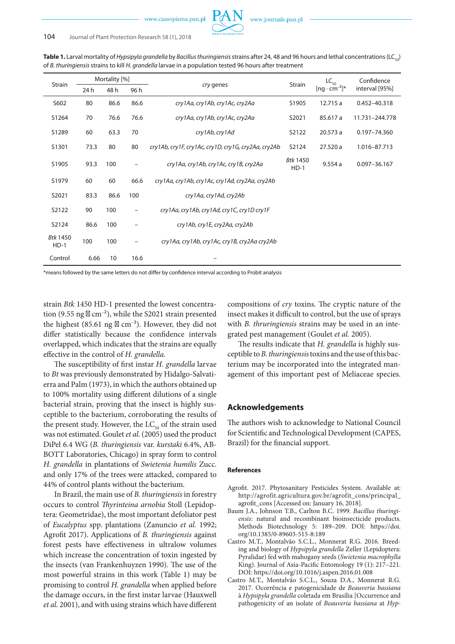www.czasopisma.pan.pl

| Strain                    | Mortality [%] |      |                          | cry genes                                           | Strain                    | $LC_{50}$              | Confidence       |
|---------------------------|---------------|------|--------------------------|-----------------------------------------------------|---------------------------|------------------------|------------------|
|                           | 24 h          | 48 h | 96 h                     |                                                     |                           | $[ng \cdot cm^{-2}]^*$ | interval [95%]   |
| S602                      | 80            | 86.6 | 86.6                     | cry1Aa, cry1Ab, cry1Ac, cry2Aa                      | S1905                     | 12.715 a               | 0.452-40.318     |
| S1264                     | 70            | 76.6 | 76.6                     | cry1Aa, cry1Ab, cry1Ac, cry2Aa                      | S2021                     | 85.617 a               | 11.731-244.778   |
| S1289                     | 60            | 63.3 | 70                       | cry1Ab, cry1Ad                                      | S2122                     | 20.573 a               | $0.197 - 74.360$ |
| S1301                     | 73.3          | 80   | 80                       | cry1Ab, cry1F, cry1Ac, cry1D, cry1G, cry2Aa, cry2Ab | S2124                     | 27.520 a               | 1.016-87.713     |
| S1905                     | 93.3          | 100  |                          | cry1Aa, cry1Ab, cry1Ac, cry1B, cry2Aa               | <b>Btk 1450</b><br>$HD-1$ | 9.554a                 | 0.097-36.167     |
| S1979                     | 60            | 60   | 66.6                     | cry1Aa, cry1Ab, cry1Ac, cry1Ad, cry2Aa, cry2Ab      |                           |                        |                  |
| S2021                     | 83.3          | 86.6 | 100                      | cry1Aa, cry1Ad, cry2Ab                              |                           |                        |                  |
| S2122                     | 90            | 100  | $\overline{\phantom{0}}$ | cry1Aa, cry1Ab, cry1Ad, cry1C, cry1D cry1F          |                           |                        |                  |
| S2124                     | 86.6          | 100  |                          | cry1Ab, cry1E, cry2Aa, cry2Ab                       |                           |                        |                  |
| <b>Btk 1450</b><br>$HD-1$ | 100           | 100  |                          | cry1Aa, cry1Ab, cry1Ac, cry1B, cry2Aa cry2Ab        |                           |                        |                  |
| Control                   | 6.66          | 10   | 16.6                     |                                                     |                           |                        |                  |

**Table 1.** Larval mortality of *Hypsipyla grandella* by *Bacillus thuringiensis* strains after 24, 48 and 96 hours and lethal concentrations (LC<sub>50</sub>) of *B. thuringiensis* strains to kill *H. grandella* larvae in a population tested 96 hours after treatment

\*means followed by the same letters do not differ by confidence interval according to Probit analysis

strain *Btk* 1450 HD-1 presented the lowest concentration (9.55 ng  $\,$  cm<sup>-2</sup>), while the S2021 strain presented the highest  $(85.61 \text{ ng } \text{cm}^{-2})$ . However, they did not differ statistically because the confidence intervals overlapped, which indicates that the strains are equally effective in the control of *H. grandella.* 

The susceptibility of first instar *H. grandella* larvae to *Bt* was previously demonstrated by Hidalgo-Salvatierra and Palm (1973), in which the authors obtained up to 100% mortality using different dilutions of a single bacterial strain, proving that the insect is highly susceptible to the bacterium, corroborating the results of the present study. However, the  $LC_{50}$  of the strain used was not estimated. Goulet *et al.* (2005) used the product DiPel 6.4 WG (*B. thuringiensis* var. *kurstaki* 6.4%, AB-BOTT Laboratories, Chicago) in spray form to control *H. grandella* in plantations of *Swietenia humilis* Zucc. and only 17% of the trees were attacked, compared to 44% of control plants without the bacterium.

In Brazil, the main use of *B. thuringiensis* in forestry occurs to control *Thyrinteina arnobia* Stoll (Lepidoptera: Geometridae), the most important defoliator pest of *Eucalyptus* spp. plantations (Zanuncio *et al.* 1992; Agrofit 2017). Applications of *B. thuringiensis* against forest pests have effectiveness in ultralow volumes which increase the concentration of toxin ingested by the insects (van Frankenhuyzen 1990). The use of the most powerful strains in this work (Table 1) may be promising to control *H. grandella* when applied before the damage occurs, in the first instar larvae (Hauxwell *et al.* 2001), and with using strains which have different

compositions of *cry* toxins. The cryptic nature of the insect makes it difficult to control, but the use of sprays with *B. thruringiensis* strains may be used in an integrated pest management (Goulet *et al.* 2005).

The results indicate that *H. grandella* is highly susceptible to *B. thuringiensis* toxins and the use of this bacterium may be incorporated into the integrated management of this important pest of Meliaceae species.

### **Acknowledgements**

The authors wish to acknowledge to National Council for Scientific and Technological Development (CAPES, Brazil) for the financial support.

#### **References**

- Agrofit. 2017. Phytosanitary Pesticides System. Available at: http://agrofit.agricultura.gov.br/agrofit\_cons/principal\_ agrofit\_cons [Accessed on: January 16, 2018].
- Baum J.A., Johnson T.B., Carlton B.C. 1999. *Bacillus thuringiensis*: natural and recombinant bioinsecticide products. Methods Biotechnology 5: 189–209. DOI: https://doi. org/10.1385/0-89603-515-8:189
- Castro M.T., Montalvão S.C.L., Monnerat R.G. 2016. Breeding and biology of *Hypsipyla grandella* Zeller (Lepidoptera: Pyralidae) fed with mahogany seeds (*Swietenia macrophylla*  King). Journal of Asia-Pacific Entomology 19 (1): 217–221. DOI: https://doi.org/10.1016/j.aspen.2016.01.008
- Castro M.T., Montalvão S.C.L., Souza D.A., Monnerat R.G. 2017. Ocorrência e patogenicidade de *Beauveria bassiana* à *Hypsipyla grandella* coletada em Brasília [Occurrence and pathogenicity of an isolate of *Beauveria bassiana* at *Hyp-*